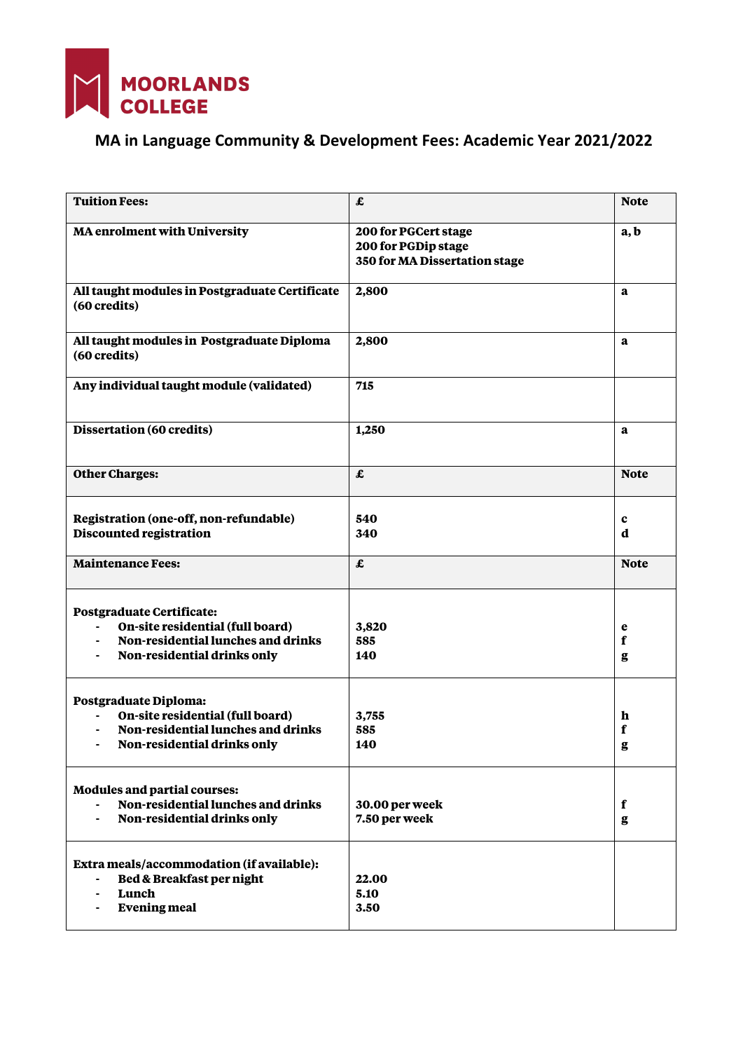

## **MA in Language Community & Development Fees: Academic Year 2021/2022**

| <b>Tuition Fees:</b>                                                                                                               | $\pmb{\pmb{\pmb{\pmb{\varepsilon}}}}$                                        | <b>Note</b>           |
|------------------------------------------------------------------------------------------------------------------------------------|------------------------------------------------------------------------------|-----------------------|
| <b>MA</b> enrolment with University                                                                                                | 200 for PGCert stage<br>200 for PGDip stage<br>350 for MA Dissertation stage | a, b                  |
| All taught modules in Postgraduate Certificate<br>(60 credits)                                                                     | 2,800                                                                        | a                     |
| All taught modules in Postgraduate Diploma<br>(60 credits)                                                                         | 2,800                                                                        | a                     |
| Any individual taught module (validated)                                                                                           | 715                                                                          |                       |
| Dissertation (60 credits)                                                                                                          | 1,250                                                                        | a                     |
| <b>Other Charges:</b>                                                                                                              | $\pmb{\pmb{\pmb{\pmb{\varepsilon}}}}$                                        | <b>Note</b>           |
| Registration (one-off, non-refundable)<br>Discounted registration                                                                  | 540<br>340                                                                   | $\mathbf c$<br>d      |
| <b>Maintenance Fees:</b>                                                                                                           | $\pmb{\pmb{\pmb{\pmb{\varepsilon}}}}$                                        | <b>Note</b>           |
| Postgraduate Certificate:<br>On-site residential (full board)<br>Non-residential lunches and drinks<br>Non-residential drinks only | 3,820<br>585<br>140                                                          | e<br>f<br>g           |
| Postgraduate Diploma:<br>On-site residential (full board)<br>Non-residential lunches and drinks<br>Non-residential drinks only     | 3,755<br>585<br>140                                                          | h<br>f<br>g           |
| <b>Modules and partial courses:</b><br>Non-residential lunches and drinks<br>Non-residential drinks only                           | 30.00 per week<br>7.50 per week                                              | f<br>$\boldsymbol{g}$ |
| Extra meals/accommodation (if available):<br>Bed & Breakfast per night<br>Lunch<br><b>Evening meal</b>                             | 22.00<br>5.10<br>3.50                                                        |                       |